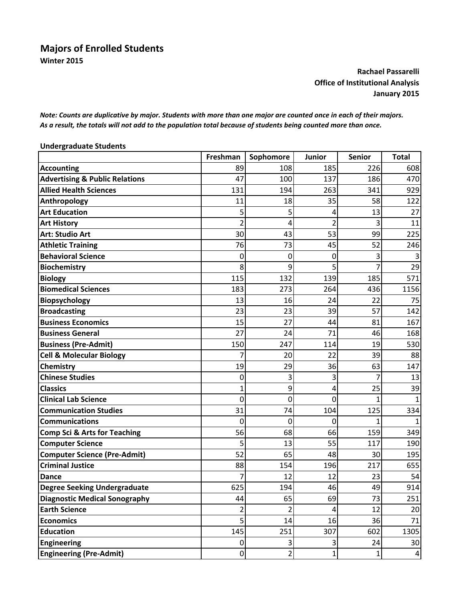## **Majors of Enrolled Students Winter 2015**

## **Rachael Passarelli Office of Institutional Analysis January 2015**

Note: Counts are duplicative by major. Students with more than one major are counted once in each of their majors. As a result, the totals will not add to the population total because of students being counted more than once.

| <b>Undergraduate Students</b>             |                  |                |                |               |              |  |
|-------------------------------------------|------------------|----------------|----------------|---------------|--------------|--|
|                                           | Freshman         | Sophomore      | <b>Junior</b>  | <b>Senior</b> | <b>Total</b> |  |
| <b>Accounting</b>                         | 89               | 108            | 185            | 226           | 608          |  |
| <b>Advertising &amp; Public Relations</b> | 47               | 100            | 137            | 186           | 470          |  |
| <b>Allied Health Sciences</b>             | 131              | 194            | 263            | 341           | 929          |  |
| Anthropology                              | 11               | 18             | 35             | 58            | 122          |  |
| <b>Art Education</b>                      | 5                | 5              | 4              | 13            | 27           |  |
| <b>Art History</b>                        | $\overline{2}$   | 4              | $\overline{2}$ | 3             | 11           |  |
| <b>Art: Studio Art</b>                    | 30               | 43             | 53             | 99            | 225          |  |
| <b>Athletic Training</b>                  | 76               | 73             | 45             | 52            | 246          |  |
| <b>Behavioral Science</b>                 | 0                | 0              | 0              | 3             |              |  |
| <b>Biochemistry</b>                       | 8                | 9              | 5              | 7             | 29           |  |
| <b>Biology</b>                            | 115              | 132            | 139            | 185           | 571          |  |
| <b>Biomedical Sciences</b>                | 183              | 273            | 264            | 436           | 1156         |  |
| <b>Biopsychology</b>                      | 13               | 16             | 24             | 22            | 75           |  |
| <b>Broadcasting</b>                       | 23               | 23             | 39             | 57            | 142          |  |
| <b>Business Economics</b>                 | 15               | 27             | 44             | 81            | 167          |  |
| <b>Business General</b>                   | 27               | 24             | 71             | 46            | 168          |  |
| <b>Business (Pre-Admit)</b>               | 150              | 247            | 114            | 19            | 530          |  |
| <b>Cell &amp; Molecular Biology</b>       |                  | 20             | 22             | 39            | 88           |  |
| <b>Chemistry</b>                          | 19               | 29             | 36             | 63            | 147          |  |
| <b>Chinese Studies</b>                    | 0                | 3              | 3              | 7             | 13           |  |
| <b>Classics</b>                           | 1                | 9              | 4              | 25            | 39           |  |
| <b>Clinical Lab Science</b>               | 0                | 0              | 0              | 1             | 1            |  |
| <b>Communication Studies</b>              | 31               | 74             | 104            | 125           | 334          |  |
| <b>Communications</b>                     | 0                | 0              | 0              | 1             |              |  |
| <b>Comp Sci &amp; Arts for Teaching</b>   | 56               | 68             | 66             | 159           | 349          |  |
| <b>Computer Science</b>                   | 5                | 13             | 55             | 117           | 190          |  |
| <b>Computer Science (Pre-Admit)</b>       | 52               | 65             | 48             | 30            | 195          |  |
| <b>Criminal Justice</b>                   | 88               | 154            | 196            | 217           | 655          |  |
| <b>Dance</b>                              | $\overline{7}$   | 12             | 12             | 23            | 54           |  |
| <b>Degree Seeking Undergraduate</b>       | 625              | 194            | 46             | 49            | 914          |  |
| <b>Diagnostic Medical Sonography</b>      | 44               | 65             | 69             | 73            | 251          |  |
| <b>Earth Science</b>                      | 2                | $\overline{2}$ | 4              | 12            | 20           |  |
| <b>Economics</b>                          | 5                | 14             | 16             | 36            | 71           |  |
| <b>Education</b>                          | 145              | 251            | 307            | 602           | 1305         |  |
| <b>Engineering</b>                        | 0                | $\vert$ 3      | 3              | 24            | 30           |  |
| <b>Engineering (Pre-Admit)</b>            | $\boldsymbol{0}$ | $\overline{2}$ | $\mathbf{1}$   | $\mathbf 1$   | $\vert$      |  |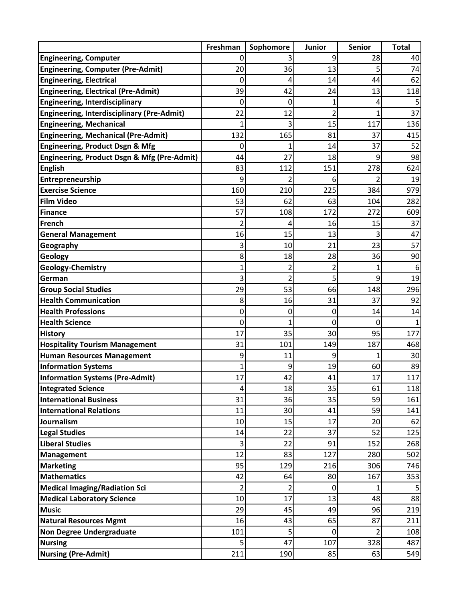|                                                   | Freshman       | Sophomore               | Junior         | <b>Senior</b>  | <b>Total</b> |
|---------------------------------------------------|----------------|-------------------------|----------------|----------------|--------------|
| <b>Engineering, Computer</b>                      | 0              |                         | 9              | 28             | 40           |
| <b>Engineering, Computer (Pre-Admit)</b>          | 20             | 36                      | 13             | 5              | 74           |
| <b>Engineering, Electrical</b>                    | 0              | 4                       | 14             | 44             | 62           |
| <b>Engineering, Electrical (Pre-Admit)</b>        | 39             | 42                      | 24             | 13             | 118          |
| <b>Engineering, Interdisciplinary</b>             | 0              | 0                       |                | 4              |              |
| <b>Engineering, Interdisciplinary (Pre-Admit)</b> | 22             | 12                      | $\overline{2}$ | $\mathbf{1}$   | 37           |
| <b>Engineering, Mechanical</b>                    |                | 3                       | 15             | 117            | 136          |
| <b>Engineering, Mechanical (Pre-Admit)</b>        | 132            | 165                     | 81             | 37             | 415          |
| <b>Engineering, Product Dsgn &amp; Mfg</b>        | 0              |                         | 14             | 37             | 52           |
| Engineering, Product Dsgn & Mfg (Pre-Admit)       | 44             | 27                      | 18             | 9              | 98           |
| <b>English</b>                                    | 83             | 112                     | 151            | 278            | 624          |
| Entrepreneurship                                  | 9              | 2                       | 6              | 2              | 19           |
| <b>Exercise Science</b>                           | 160            | 210                     | 225            | 384            | 979          |
| <b>Film Video</b>                                 | 53             | 62                      | 63             | 104            | 282          |
| <b>Finance</b>                                    | 57             | 108                     | 172            | 272            | 609          |
| French                                            | $\overline{2}$ | 4                       | 16             | 15             | 37           |
| <b>General Management</b>                         | 16             | 15                      | 13             | 3              | 47           |
| Geography                                         | 3              | 10                      | 21             | 23             | 57           |
| Geology                                           | 8              | 18                      | 28             | 36             | 90           |
| <b>Geology-Chemistry</b>                          | 1              | 2                       |                | 1              | 6            |
| German                                            | 3              | 2                       | 5              | 9              | 19           |
| <b>Group Social Studies</b>                       | 29             | 53                      | 66             | 148            | 296          |
| <b>Health Communication</b>                       | 8              | 16                      | 31             | 37             | 92           |
| <b>Health Professions</b>                         | 0              | 0                       | 0              | 14             | 14           |
| <b>Health Science</b>                             | 0              | 1                       | 0              | 0              |              |
| <b>History</b>                                    | 17             | 35                      | 30             | 95             | 177          |
| <b>Hospitality Tourism Management</b>             | 31             | 101                     | 149            | 187            | 468          |
| <b>Human Resources Management</b>                 | 9              | 11                      | 9              | 1              | 30           |
| <b>Information Systems</b>                        | 1              | 9                       | 19             | 60             | 89           |
| <b>Information Systems (Pre-Admit)</b>            | 17             | 42                      | 41             | 17             | 117          |
| <b>Integrated Science</b>                         | $\overline{4}$ | 18                      | 35             | 61             | 118          |
| <b>International Business</b>                     | 31             | 36                      | 35             | 59             | 161          |
| <b>International Relations</b>                    | 11             | 30                      | 41             | 59             | 141          |
| Journalism                                        | 10             | 15                      | 17             | 20             | 62           |
| <b>Legal Studies</b>                              | 14             | 22                      | 37             | 52             | 125          |
| <b>Liberal Studies</b>                            | 3              | 22                      | 91             | 152            | 268          |
| Management                                        | 12             | 83                      | 127            | 280            | 502          |
| <b>Marketing</b>                                  | 95             | 129                     | 216            | 306            | 746          |
| <b>Mathematics</b>                                | 42             | 64                      | 80             | 167            | 353          |
| <b>Medical Imaging/Radiation Sci</b>              | $\overline{2}$ | $\overline{\mathbf{c}}$ | 0              | 1              |              |
| <b>Medical Laboratory Science</b>                 | 10             | 17                      | 13             | 48             | 88           |
| <b>Music</b>                                      | 29             | 45                      | 49             | 96             | 219          |
| <b>Natural Resources Mgmt</b>                     | 16             | 43                      | 65             | 87             | 211          |
| <b>Non Degree Undergraduate</b>                   | 101            | 5                       | $\mathbf 0$    | $\overline{2}$ | 108          |
| <b>Nursing</b>                                    | 5              | 47                      | 107            | 328            | 487          |
| <b>Nursing (Pre-Admit)</b>                        | 211            | 190                     | 85             | 63             | 549          |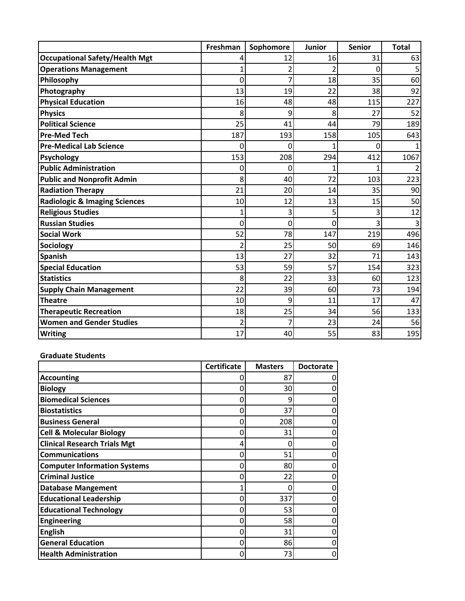|                                          | Freshman       | Sophomore | <b>Junior</b> | <b>Senior</b> | <b>Total</b> |
|------------------------------------------|----------------|-----------|---------------|---------------|--------------|
| <b>Occupational Safety/Health Mgt</b>    |                | 12        | 16            | 31            | 63           |
| <b>Operations Management</b>             |                |           |               | 0             |              |
| Philosophy                               | 0              | 7         | 18            | 35            | 60           |
| Photography                              | 13             | 19        | 22            | 38            | 92           |
| <b>Physical Education</b>                | 16             | 48        | 48            | 115           | 227          |
| <b>Physics</b>                           | 8              | 9         | 8             | 27            | 52           |
| <b>Political Science</b>                 | 25             | 41        | 44            | 79            | 189          |
| <b>Pre-Med Tech</b>                      | 187            | 193       | 158           | 105           | 643          |
| <b>Pre-Medical Lab Science</b>           | 0              | 0         |               | 0             |              |
| <b>Psychology</b>                        | 153            | 208       | 294           | 412           | 1067         |
| <b>Public Administration</b>             | 0              | 0         |               |               |              |
| <b>Public and Nonprofit Admin</b>        | 8              | 40        | 72            | 103           | 223          |
| <b>Radiation Therapy</b>                 | 21             | 20        | 14            | 35            | 90           |
| <b>Radiologic &amp; Imaging Sciences</b> | 10             | 12        | 13            | 15            | 50           |
| <b>Religious Studies</b>                 |                | 3         | 5             | 3             | 12           |
| <b>Russian Studies</b>                   | 0              | 0         | 0             | 3             | 3            |
| <b>Social Work</b>                       | 52             | 78        | 147           | 219           | 496          |
| <b>Sociology</b>                         | 2              | 25        | 50            | 69            | 146          |
| <b>Spanish</b>                           | 13             | 27        | 32            | 71            | 143          |
| <b>Special Education</b>                 | 53             | 59        | 57            | 154           | 323          |
| <b>Statistics</b>                        | 8              | 22        | 33            | 60            | 123          |
| <b>Supply Chain Management</b>           | 22             | 39        | 60            | 73            | 194          |
| <b>Theatre</b>                           | 10             | 9         | 11            | 17            | 47           |
| <b>Therapeutic Recreation</b>            | 18             | 25        | 34            | 56            | 133          |
| <b>Women and Gender Studies</b>          | $\overline{2}$ | 7         | 23            | 24            | 56           |
| <b>Writing</b>                           | 17             | 40        | 55            | 83            | 195          |

## **Graduate Students**

|                                     | <b>Certificate</b> | <b>Masters</b> | <b>Doctorate</b> |
|-------------------------------------|--------------------|----------------|------------------|
| <b>Accounting</b>                   |                    | 87             |                  |
| <b>Biology</b>                      |                    | 30             | 0                |
| <b>Biomedical Sciences</b>          |                    | 9              | 0                |
| <b>Biostatistics</b>                |                    | 37             | 0                |
| <b>Business General</b>             |                    | 208            | 0                |
| <b>Cell &amp; Molecular Biology</b> |                    | 31             | 0                |
| <b>Clinical Research Trials Mgt</b> |                    |                |                  |
| <b>Communications</b>               |                    | 51             | 0                |
| <b>Computer Information Systems</b> |                    | 80             | 0                |
| <b>Criminal Justice</b>             |                    | 22             | 0                |
| <b>Database Mangement</b>           |                    |                | 0                |
| <b>Educational Leadership</b>       |                    | 337            | 0                |
| <b>Educational Technology</b>       |                    | 53             | 0                |
| <b>Engineering</b>                  |                    | 58             | 0                |
| <b>English</b>                      |                    | 31             | 0                |
| <b>General Education</b>            |                    | 86             | 0                |
| <b>Health Administration</b>        |                    | 73             | 0                |